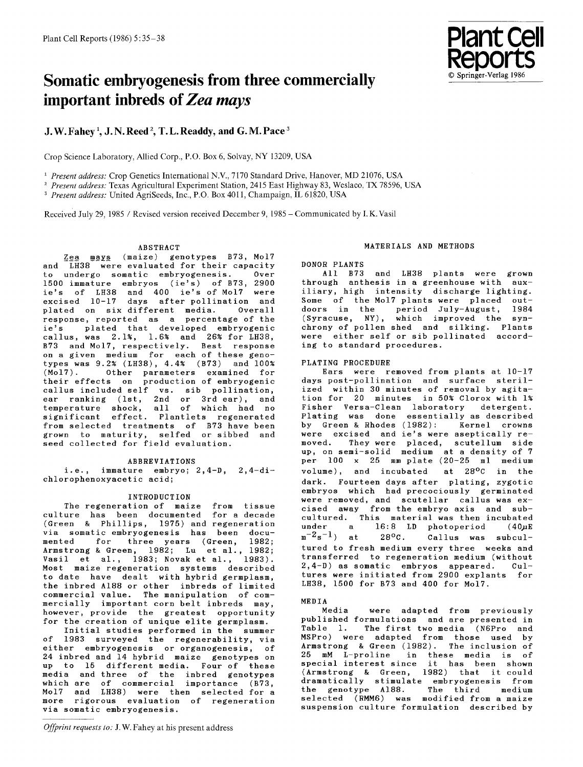

# **Somatic embryogenesis from three commercially important inbreds of** *Zea mays*

# **J. W. Fahey 1, j. N. Reed 2, T. L. Readdy, and G. M. Pace 3**

Crop Science Laboratory, Allied Corp., P.O. Box 6, Solvay, NY 13209, USA

<sup>1</sup> Present address: Crop Genetics International N.V., 7170 Standard Drive, Hanover, MD 21076, USA

<sup>2</sup> Present address: Texas Agricultural Experiment Station, 2415 East Highway 83, Weslaco, TX 78596, USA

<sup>3</sup> Present address: United AgriSeeds, Inc., P.O. Box 4011, Champaign, IL 61820, USA

Received July 29, 1985 / Revised version received December 9, 1985 - Communicated by I. K.Vasil

# ABSTRACT

Zea mays (maize) genotypes B73, Mol7 and LH38 were evaluated for their capacity<br>to undergo somatic embryogenesis. Over to undergo somatic embryogenesis. 1500 immature embryos (ie's) of B73, 2900 ie's of LH38 and 400 ie's of Mo17 were excised 10-17 days after pollination and plated on six different media. Overall response, reported as a percentage of the ie's plated that developed embryogenic callus, was 2.1%, 1.6% and 26% for LH38, B73 and Mo17, respectively. Best response on a given medium for each of these genotypes was 9.2% (LH38), 4.4% (B73) and 100% (Mo17). Other parameters examined for their effects on production of embryogenic callus included self vs. sib pollination, ear ranking (lst, 2nd or 3rd ear), and temperature shock, all of which had no significant effect. Plantlets regenerate from selected treatments of B73 have been grown to maturity, selfed or sibbed and seed collected for field evaluation.

#### ABBREVIATIONS

i.e., immature embryo; 2,4-D, 2,4-dichlorophenoxyacetic acid;

# INTRODUCTION

The regeneration of maize from tissue culture has been documented for a decade (Green & Phillips, 1975) and regeneration via somatic embryogenesis has been documented for three years (Green, 1982; Armstrong & Green, 1982; Lu et al., 1982; Vasil et al., 1983; Novak et al., 1983). Most maize regeneration systems described to date have dealt with hybrid germplasm, the inbred A188 or other inbreds of limited commercial value. The manipulation of commercially important corn belt inbreds may, however, provide the greatest opportunity for the creation of unique elite germplasm.

Initial studies performed in the summer of 1983 surveyed the regenerability, via either embryogenesis or organogenesis, of 24 inbred and 14 hybrid maize genotypes on up to 15 different media. Four of these media and three of the inbred genotypes which are of commercial importance (B73, Mo17 and LH38) were then selected for a more rigorous evaluation of regeneration via somatic embryogenesis.

# MATERIALS AND METHODS

DONOR PLANTS<br>All B73

and LH38 plants were grown through anthesis in a greenhouse with auxiliary, high intensity discharge lighting. Some of the Mo17 plants were placed outdoors in the period July-August, 1984 (Syracuse, NY), which improved the synchrony of pollen shed and silking. Plants were either self or sib pollinated according to standard procedures.

# PLATING PROCEDURE

Ears were removed from plants at 10-17 days post-pollination and surface sterilized within 30 minutes of removal by agitation for 20 minutes in 50% Clorox with 1% Fisher Versa-Clean laboratory detergent. Plating was done essentially as described<br>by Green & Rhodes (1982): Kernel crowns by Green & Rhodes (1982): were excised and ie's were aseptically removed. They were placed, scutellum side up, on semi-solid medium at a density of 7 per 100 x 25 mm plate 20-25 ml medium volume), and incubated at 28°C in the dark. Fourteen days after plating, zygotic embryos which had precociously germinated were removed, and scutellar callus was excised away from the embryo axis and subcultured. This material was then incubated under a 16:8 LD photoperiod  $(40\mu E$ <br> $m^{-2}s^{-1}$  at 28°C. Callus was subculat 28°C. Callus was subcultured to fresh medium every three weeks and transferred to regeneration medium (without 2,4-D) as somatic embryos appeared. Cultures were initiated from 2900 explants for LH38, 1500 for B73 and 400 for Mol7.

#### MEDIA

Media were adapted from previously published formulations and are presented in Table 1. The first two media (N6Pro and MSPro) were adapted from those used by Armstrong & Green (1982). The inclusion of 25 mM L-proline in these media is of special interest since it has been shown (Armstrong & Green, 1982) that it could dramatically stimulate embryogenesis from the genotype A188. The third medium selected (RMM6) was modified from a maize suspension culture formulation described by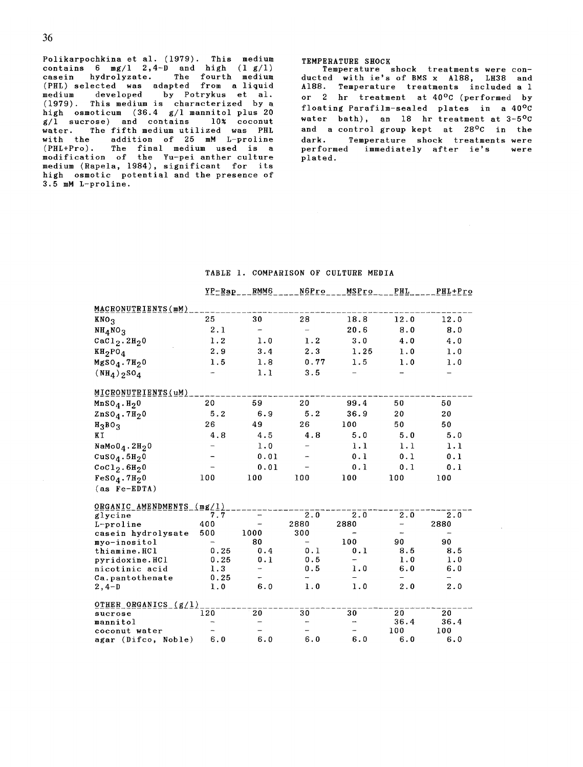Polikarpochkina et al. (1979). This medium contains 6 mg/1 2,4-D and high (1 g/l) casein hydrolyzate. The fourth medium (PHL) selected was adapted from a liquid medium developed by Potrykus et al. (1979). This medium is characterized by a high osmoticum (36.4 g/l mannitol plus 20  $g/\overline{1}$  sucrose) and contains  $10\%$  coconut water. The fifth medium utilized was PHL with the addition of 25 mM L-proline (PHL+Pro). The final medium used is a modification of the Yu-pei-anther-cultur medium (Rapela, 1984), significant for its high osmotic potential and the presence of 3.5 mM L-proline.

#### TEMPERATURE SHOCK

Temperature shock treatments were conducted with ie's of BMS x A188, LH38 and A188. Temperature treatments included a 1 or 2 hr treatment at 40°C (performed by floating Parafilm-sealed plates in a 40°C water bath), an 18 hr treatment at 3-5°C and a control group kept at 28°C in the dark. Temperature shock treatments were<br>performed immediately after ie's were immediately after ie's plated.

# TABLE i. COMPARISON OF CULTURE MEDIA

|                                       | $YP-Rap$ | RMM <sub>6</sub> | N6Pro | MSPro         | <b>PHL</b> | PHL+Pro |
|---------------------------------------|----------|------------------|-------|---------------|------------|---------|
| MACRONUTRIENTS(mM)                    |          |                  |       |               |            |         |
| KNO <sub>3</sub>                      | 25       | 30               | 28    | 18.8          | 12.0       | 12.0    |
| NH <sub>4</sub> NO <sub>3</sub>       | 2.1      |                  |       | 20.6          | 8.0        | 8.0     |
| $CaCl2$ .2H <sub>2</sub> 0            | 1.2      | 1.0              | 1.2   | 3.0           | 4.0        | 4.0     |
| $KH_2PO_4$                            | 2.9      | 3.4              | 2.3   | 1.25          | 1.0        | 1.0     |
|                                       |          |                  | 0.77  | 1.5           |            |         |
| $MgSO_4.7H_2O$                        | 1.5      | 1.8              |       |               | 1.0        | 1.0     |
| $(NH_4)$ <sub>2</sub> SO <sub>4</sub> |          | 1.1              | 3.5   |               |            |         |
| MICRONUTRIENTS (uM)                   |          |                  |       |               |            |         |
| $MnSO_4.H_20$                         | 20       | 59               | 20    | 99.4          | 50         | 50      |
| $ZnSO_4.7H_2O$                        | 5.2      | 6.9              | 5.2   | 36.9          | 20         | 20      |
| $H_3BO_3$                             | 26       | 49               | 26    | 100           | 50         | 50      |
| ΚT                                    | 4.8      | 4.5              | 4.8   | 5.0           | 5.0        | 5.0     |
| $Namoo_4.2H_2O$                       |          | 1.0              |       | 1.1           | 1.1        | 1.1     |
| CuSO <sub>4</sub> .5H <sub>2</sub> 0  |          | 0.01             |       | 0.1           | 0.1        | 0.1     |
| CoCl <sub>2</sub> . 6H <sub>2</sub> 0 |          | 0.01             |       | 0.1           | 0.1        | 0.1     |
| $FeSO4$ . 7H <sub>2</sub> 0           | 100      | 100              | 100   | 100           | 100        | 100     |
| $(as Fe-EDTA)$                        |          |                  |       |               |            |         |
|                                       |          |                  |       |               |            |         |
| ORGANIC AMENDMENTS                    | mg/1)    |                  |       |               |            |         |
| glycine                               | 7.7      |                  | 2.0   | 2.0           | 2.0        | 2.0     |
| L-proline                             | 400      |                  | 2880  | 2880          | -          | 2880    |
| casein hydrolysate                    | 500      | 1000             | 300   |               |            |         |
| myo-inositol                          |          | 80               |       | 100           | 90         | 90      |
| thiamine.HCl                          | 0.25     | 0.4              | 0.1   | 0.1           | 8.5        | 8.5     |
| pyridoxine.HCl                        | 0.25     | 0.1              | 0.5   |               | 1.0        | 1.0     |
| nicotinic acid                        | 1.3      |                  | 0.5   | 1.0           | 6.0        | 6.0     |
| Ca.pantothenate                       | 0.25     |                  |       |               |            |         |
| $2, 4-D$                              | 1.0      | 6.0              | 1.0   | 1.0           | 2.0        | 2.0     |
| OTHER_ORGANICS_(g/l)                  |          |                  |       |               |            |         |
| sucrose                               | 120      | 20               | 30    | 30            | 20         | 20      |
| mannitol                              |          |                  |       | $\rightarrow$ | 36.4       | 36.4    |
| coconut water                         |          |                  |       |               | 100        | 100     |
| agar (Difco, Noble)                   | 6.0      | 6.0              | 6.0   | 6.0           | 6.0        | 6.0     |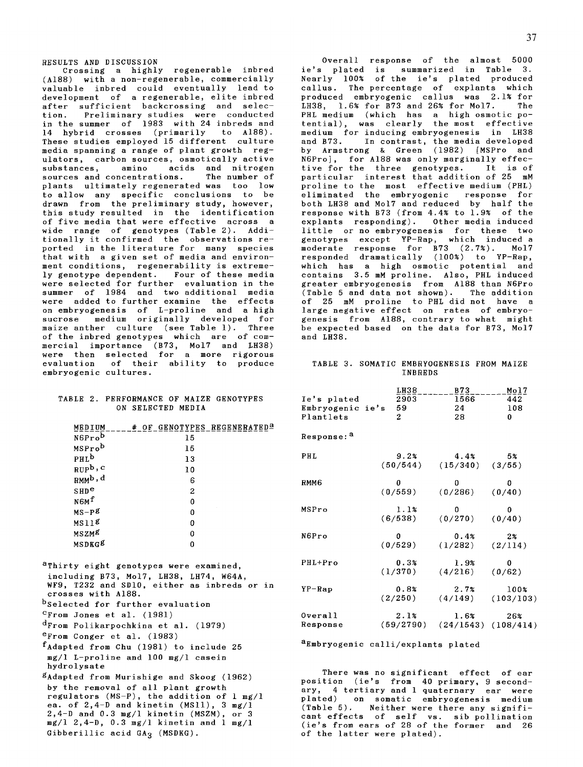RESULTS AND DISCUSSION Crossing a highly regenerable inbred (A188) with a non-regenerable, commercially valuable inbred could eventually lead to development of a regenerable, elite inbred after sufficient backcrossing and selection. Preliminary studies were conducted in the summer of 1983 with 24 inbreds *and*  14 hybrid crosses (primarily to A188). These studies employed 15 different culture media spanning a range of plant growth regulators, carbon sources, osmotically active substances, amino acids and nitrogen<br>sources and concentrations. The number of sources and concentrations. plants ultimately regenerated was too low to allow any specific conclusions to be drawn from the preliminary study, however, this study resulted in the identification

of five media that were effective across a wide range of genotypes (Table 2). Additionally it confirmed the observations reported in the literature for many species that with a given set of media and environment conditions, regenerability is extremely genotype dependent. Four of these media were selected for further evaluation in the summer of 1984 and two additional media were added to further examine the effects on embryogenesis of L-proline and a high sucrose medium originally developed for maize anther culture (see Table 1). Three of the inbred genotypes which are of commercial importance (B73, Mo17 and LH38) were then selected for a more rigorous evaluation of their ability to produce embryogenic cultures.

#### TABLE 2. PERFORMANCE OF MAIZE GENOTYPES ON SELECTED MEDIA

| MEDIUM              | GENOTYPES REGENERATED <sup>a</sup><br># OF |
|---------------------|--------------------------------------------|
| N6Prob              | 15                                         |
| MSProb              | 15                                         |
| PHL <sup>b</sup>    | 13                                         |
| $RUP^b$ , c         | 10                                         |
| RMM <sup>b, d</sup> | 6                                          |
| SHD <sup>e</sup>    | 2                                          |
| N6M <sup>f</sup>    | 0                                          |
| $MS-P^g$            | 0                                          |
| MS11 <sup>g</sup>   | 0                                          |
| MSZM <sup>g</sup>   | 0                                          |
| MSDKG <sup>g</sup>  | Ω                                          |
|                     |                                            |

aThirty eight genotypes were examined, including B73, Mo17, LH38, LH74, W64A, WF9, T232 and SDI0, either as inbreds or in crosses with A188. bSelected for further evaluation CFrom Jones et al. (1981) dFrom Polikarpochkina et al. (1979) eFrom Conger et al. (1983) fAdapted from Chu (1981) to include 25 *mg/l* L-proline *and* i00 *mg/l* casein hydrolysate gAdapted from Murishige and Skoog (1962) by the removal of all plant growth regulators (MS-P), the addition of 1 mg/l

ea. of  $2,4-D$  and kinetin (MS11),  $3 \text{ mg}/1$ 2,4-D *and* 0.3 mg/l kinetin (MSZM), or 3 mg/l 2,4-D, 0.3 *mg/l* kinetin and 1 *mg/l*  Gibberillic acid  $GA_3$  (MSDKG).

Overall response of the almost 5000 ie's plated is summarized in Table 3. Nearly 100% of the ie's plated produced callus. The percentage of explants which produced embryogenic callus was 2.1% for<br>1838 1.6% for 873 and 26% for Mol7. The LH38,  $1.6%$  for B73 and 26% for Mol7. PHL medium (which has a high osmotic potential), was clearly the most effective medium for inducing embryogenesis in LH38 and B73. In contrast, the media developed by Armstrong & Green (1982) [MSPro and N6Pro], for A188 was only marginally effective for the three genotypes. It is of particular interest that addition of 25 mM proline to the most effective medium (PHL)<br>eliminated the embryogenic response for eliminated the embryogenic response both LH38 and Mo17 and reduced by half the response with B73 (from 4.4% to 1.9% of the explants responding). Other media induced little or no embryogenesis for these two genotypes except YP-Rap, which induced a moderate response for B73 (2.7%). Mo17 responded dramatically (100%) to YP-Rap, which has a high osmotic potential and contains 3.5 mM proline. Also, PHL induced greater embryogenesis from A188 than N6Pro (Table 5 and data not shown). The addition of 25 mM proline to PHL did not have a large negative effect on rates of embryogenesis from A188, contrary to what might be expected based on the data for B73, Mo17 and LH38.

#### TABLE 3. SOMATIC EMBRYOGENESIS FROM MAIZE INBREDS

| Ie's plated<br>Embryogenic ie's<br>Plantlets | LH38<br>2903<br>59<br>$\overline{c}$ | B73<br>1566<br>24<br>28 | Mol7<br>442<br>108<br>0 |
|----------------------------------------------|--------------------------------------|-------------------------|-------------------------|
| Response: <sup>a</sup>                       |                                      |                         |                         |
| PHL                                          | 9.2%                                 | 4.4%                    | 5%                      |
|                                              | (50/544)                             | (15/340)                | (3/55)                  |
| RMM <sub>6</sub>                             | 0                                    | 0                       | 0                       |
|                                              | (0/559)                              | (0/286)                 | (0/40)                  |
| MSPro                                        | 1.1%                                 | 0                       | 0                       |
|                                              | (6/538)                              | (0/270)                 | (0/40)                  |
| N6Pro                                        | 0                                    | 0.4%                    | $2\%$                   |
|                                              | (0/529)                              | (1/282)                 | (2/114)                 |
| PHL+Pro                                      | 0.3%                                 | 1.9%                    | 0                       |
|                                              | (1/370)                              | (4/216)                 | (0/62)                  |
| $YP-Rap$                                     | 0.8%                                 | 2.7%                    | 100%                    |
|                                              | (2/250)                              | (4/149)                 | (103/103)               |
| Overall                                      | 2.1%                                 | $1.6\%$                 | 26%                     |
| Response                                     | (59/2790)                            | (24/1543)               | (108/414)               |

aEmbryogenic calli/explants plated

There was no significant effect of ear position (ie's from 40 primary, 9 secondary, 4 tertiary and 1 quaternary ear were plated) on somatic embryogenesis medium (Table 5). Neither were there any significant effects of self vs. sib pollination (ie's from ears of 28 of the former *and* 26 of the latter were plated).